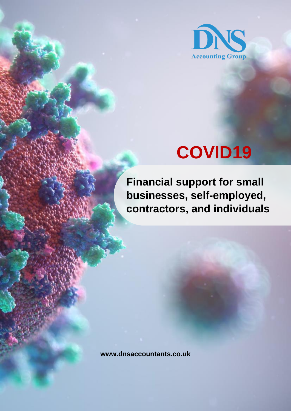

# **COVID19**

**Financial support for small businesses, self-employed, contractors, and individuals**

**www.dnsaccountants.co.uk**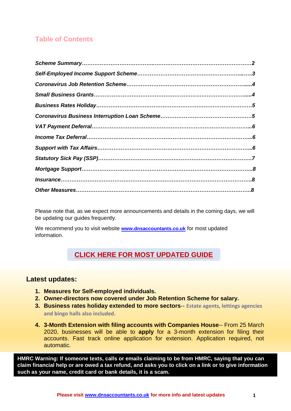### **Table of Contents**

Please note that, as we expect more announcements and details in the coming days, we will be updating our guides frequently.

We recommend you to visit website **[www.dnsaccountants.co.uk](http://www.dnsaccountants.co.uk/)** for most updated information.

### **[CLICK HERE FOR MOST UPDATED GUIDE](https://www.dnsassociates.co.uk/assets/pdf/covid-19-guide-clients.pdf)**

### **Latest updates:**

- **1. Measures for Self-employed individuals.**
- **2. Owner-directors now covered under Job Retention Scheme for salary.**
- **3. Business rates holiday extended to more sectors**-- **Estate agents, lettings agencies and bingo halls also included.**
- **4. 3-Month Extension with filing accounts with Companies House**-- From 25 March 2020, businesses will be able to **apply** for a 3-month extension for filing their accounts. Fast track online application for extension. Application required, not automatic.

**HMRC Warning: If someone texts, calls or emails claiming to be from HMRC, saying that you can claim financial help or are owed a tax refund, and asks you to click on a link or to give information such as your name, credit card or bank details, it is a scam.**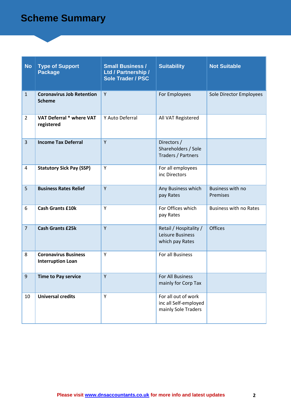# **Scheme Summary**

| <b>No</b>      | <b>Type of Support</b><br><b>Package</b>                | <b>Small Business /</b><br>Ltd / Partnership /<br><b>Sole Trader / PSC</b> | <b>Suitability</b>                                                  | <b>Not Suitable</b>           |
|----------------|---------------------------------------------------------|----------------------------------------------------------------------------|---------------------------------------------------------------------|-------------------------------|
| $\mathbf{1}$   | <b>Coronavirus Job Retention</b><br><b>Scheme</b>       | Y                                                                          | For Employees                                                       | Sole Director Employees       |
| $\overline{2}$ | VAT Deferral * where VAT<br>registered                  | Y Auto Deferral                                                            | All VAT Registered                                                  |                               |
| $\overline{3}$ | <b>Income Tax Deferral</b>                              | Y                                                                          | Directors /<br>Shareholders / Sole<br>Traders / Partners            |                               |
| $\overline{a}$ | <b>Statutory Sick Pay (SSP)</b>                         | Y                                                                          | For all employees<br>inc Directors                                  |                               |
| 5              | <b>Business Rates Relief</b>                            | Y                                                                          | Any Business which<br>pay Rates                                     | Business with no<br>Premises  |
| 6              | <b>Cash Grants £10k</b>                                 | Y                                                                          | For Offices which<br>pay Rates                                      | <b>Business with no Rates</b> |
| $\overline{7}$ | <b>Cash Grants £25k</b>                                 | Y                                                                          | Retail / Hospitality /<br>Leisure Business<br>which pay Rates       | <b>Offices</b>                |
| 8              | <b>Coronavirus Business</b><br><b>Interruption Loan</b> | Y                                                                          | For all Business                                                    |                               |
| $\mathbf{q}$   | <b>Time to Pay service</b>                              | Y                                                                          | For All Business<br>mainly for Corp Tax                             |                               |
| 10             | <b>Universal credits</b>                                | Y                                                                          | For all out of work<br>inc all Self-employed<br>mainly Sole Traders |                               |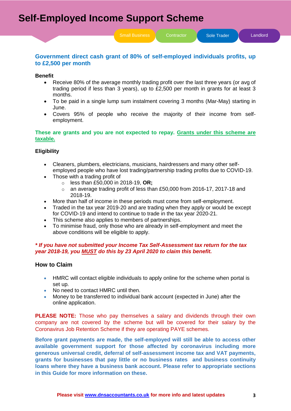Small Business Contractor **Sole Trader** Candlord

### **Government direct cash grant of 80% of self-employed individuals profits, up to £2,500 per month**

### **Benefit**

- Receive 80% of the average monthly trading profit over the last three years (or avg of trading period if less than 3 years), up to £2,500 per month in grants for at least 3 months.
- To be paid in a single lump sum instalment covering 3 months (Mar-May) starting in June.
- Covers 95% of people who receive the majority of their income from selfemployment.

### **These are grants and you are not expected to repay. Grants under this scheme are taxable.**

### **Eligibility**

- Cleaners, plumbers, electricians, musicians, hairdressers and many other selfemployed people who have lost trading/partnership trading profits due to COVID-19.
- Those with a trading profit of
	- o less than £50,000 in 2018-19, **OR;**
	- $\circ$  an average trading profit of less than £50,000 from 2016-17, 2017-18 and 2018-19.
- More than half of income in these periods must come from self-employment.
- Traded in the tax year 2019-20 and are trading when they apply or would be except for COVID-19 and intend to continue to trade in the tax year 2020-21.
- This scheme also applies to members of partnerships.
- To minimise fraud, only those who are already in self-employment and meet the above conditions will be eligible to apply.

### *\* If you have not submitted your Income Tax Self-Assessment tax return for the tax year 2018-19, you MUST do this by 23 April 2020 to claim this benefit.*

### **How to Claim**

- HMRC will contact eligible individuals to apply online for the scheme when portal is set up.
- No need to contact HMRC until then.
- Money to be transferred to individual bank account (expected in June) after the online application.

**PLEASE NOTE:** Those who pay themselves a salary and dividends through their own company are not covered by the scheme but will be covered for their salary by the Coronavirus Job Retention Scheme if they are operating PAYE schemes.

**Before grant payments are made, the self-employed will still be able to access other available government support for those affected by coronavirus including more generous universal credit, deferral of self-assessment income tax and VAT payments, grants for businesses that pay little or no business rates and business continuity loans where they have a business bank account. Please refer to appropriate sections in this Guide for more information on these.**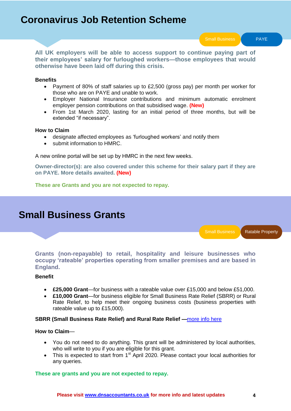# **Coronavirus Job Retention Scheme**

Small Business **PAYE** 

**All UK employers will be able to access support to continue paying part of their employees' salary for furloughed workers—those employees that would otherwise have been laid off during this crisis.**

### **Benefits**

- Payment of 80% of staff salaries up to £2,500 (gross pay) per month per worker for those who are on PAYE and unable to work.
- Employer National Insurance contributions and minimum automatic enrolment employer pension contributions on that subsidised wage. **(New)**
- From 1st March 2020, lasting for an initial period of three months, but will be extended "if necessary".

### **How to Claim**

- designate affected employees as 'furloughed workers' and notify them
- submit information to HMRC.

A new online portal will be set up by HMRC in the next few weeks.

**Owner-director(s): are also covered under this scheme for their salary part if they are on PAYE. More details awaited. (New)**

**These are Grants and you are not expected to repay.**

# **Small Business Grants**

Small Business | Ratable Property

**Grants (non-repayable) to retail, hospitality and leisure businesses who occupy 'rateable' properties operating from smaller premises and are based in England.**

### **Benefit**

- **£25,000 Grant**—for business with a rateable value over £15,000 and below £51,000.
- **£10,000 Grant**—for business eligible for Small Business Rate Relief (SBRR) or Rural Rate Relief, to help meet their ongoing business costs (business properties with rateable value up to £15,000).

### **SBRR (Small Business Rate Relief) and Rural Rate Relief —**[more info here](https://www.gov.uk/apply-for-business-rate-relief/small-business-rate-relief)

### **How to Claim**—

- You do not need to do anything. This grant will be administered by local authorities, who will write to you if you are eligible for this grant.
- This is expected to start from  $1<sup>st</sup>$  April 2020. Please contact your local authorities for any queries.

### **These are grants and you are not expected to repay.**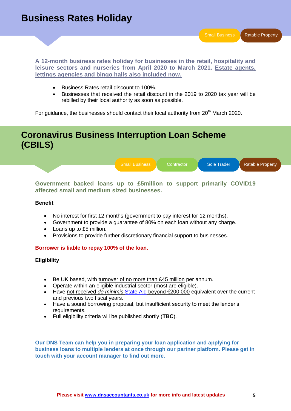**A 12-month business rates holiday for businesses in the retail, hospitality and leisure sectors and nurseries from April 2020 to March 2021. Estate agents, lettings agencies and bingo halls also included now.**

- Business Rates retail discount to 100%.
- Businesses that received the retail discount in the 2019 to 2020 tax year will be rebilled by their local authority as soon as possible.

For guidance, the businesses should contact their local authority from 20<sup>th</sup> March 2020.

# **Coronavirus Business Interruption Loan Scheme (CBILS)**



**Government backed loans up to £5million to support primarily COVID19 affected small and medium sized businesses.**

### **Benefit**

- No interest for first 12 months (government to pay interest for 12 months).
- Government to provide a guarantee of 80% on each loan without any charge.
- Loans up to £5 million.
- Provisions to provide further discretionary financial support to businesses.

### **Borrower is liable to repay 100% of the loan.**

**Eligibility**

- Be UK based, with turnover of no more than £45 million per annum.
- Operate within an eligible industrial sector (most are eligible).
- Have not received *de minimis* [State Aid](https://www.gov.uk/guidance/state-aid#what-is-state-aid) beyond €200,000 equivalent over the current and previous two fiscal years.
- Have a sound borrowing proposal, but insufficient security to meet the lender's requirements.
- Full eligibility criteria will be published shortly (**TBC**).

**Our DNS Team can help you in preparing your loan application and applying for business loans to multiple lenders at once through our partner platform. Please get in touch with your account manager to find out more.**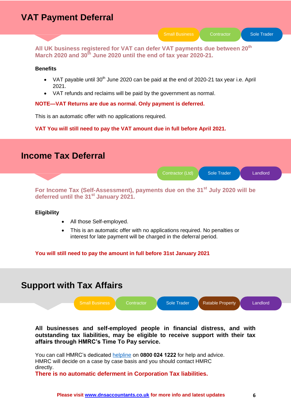# **VAT Payment Deferral**

Small Business | Contractor | Sole Trader

**All UK business registered for VAT can defer VAT payments due between 20th March 2020 and 30th June 2020 until the end of tax year 2020-21.**

### **Benefits**

- VAT payable until  $30<sup>th</sup>$  June 2020 can be paid at the end of 2020-21 tax year i.e. April 2021.
- VAT refunds and reclaims will be paid by the government as normal.

### **NOTE—VAT Returns are due as normal. Only payment is deferred.**

This is an automatic offer with no applications required.

**VAT You will still need to pay the VAT amount due in full before April 2021.** 



**For Income Tax (Self-Assessment), payments due on the 31st July 2020 will be deferred until the 31st January 2021.** 

### **Eligibility**

- All those Self-employed.
- This is an automatic offer with no applications required. No penalties or interest for late payment will be charged in the deferral period.

**You will still need to pay the amount in full before 31st January 2021** 

# **Support with Tax Affairs**



**All businesses and self-employed people in financial distress, and with outstanding tax liabilities, may be eligible to receive support with their tax affairs through HMRC's Time To Pay service.**

You can call HMRC"s dedicated [helpline](https://www.gov.uk/government/news/tax-helpline-to-support-businesses-affected-by-coronavirus-covid-19) on **0800 024 1222** for help and advice. HMRC will decide on a case by case basis and you should contact HMRC directly.

**There is no automatic deferment in Corporation Tax liabilities.**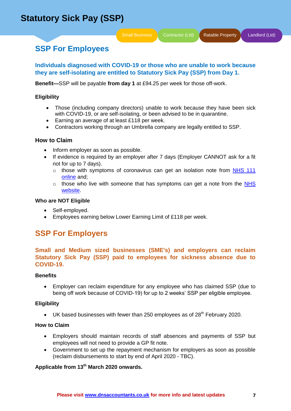# **SSP For Employees**

**Individuals diagnosed with COVID-19 or those who are unable to work because they are self-isolating are entitled to Statutory Sick Pay (SSP) from Day 1.** 

**Benefit—**SSP will be payable **from day 1** at £94.25 per week for those off-work.

### **Eligibility**

- Those (including company directors) unable to work because they have been sick with COVID-19, or are self-isolating, or been advised to be in quarantine.
- Earning an average of at least £118 per week.
- Contractors working through an Umbrella company are legally entitled to SSP.

### **How to Claim**

- Inform employer as soon as possible.
- If evidence is required by an employer after 7 days (Employer CANNOT ask for a fit not for up to 7 days).
	- o those with symptoms of coronavirus can get an isolation note from NHS 111 [online](https://111.nhs.uk/covid-19) and;
	- $\circ$  those who live with someone that has symptoms can get a note from the NHS [website.](https://www.nhs.uk/conditions/coronavirus-covid-19/self-isolation-advice/)

### **Who are NOT Eligible**

- Self-employed.
- Employees earning below Lower Earning Limit of £118 per week.

### **SSP For Employers**

**Small and Medium sized businesses (SME's) and employers can reclaim Statutory Sick Pay (SSP) paid to employees for sickness absence due to COVID-19.**

### **Benefits**

 Employer can reclaim expenditure for any employee who has claimed SSP (due to being off work because of COVID-19) for up to 2 weeks" SSP per eligible employee.

### **Eligibility**

UK based businesses with fewer than 250 employees as of  $28<sup>th</sup>$  February 2020.

### **How to Claim**

- Employers should maintain records of staff absences and payments of SSP but employees will not need to provide a GP fit note.
- Government to set up the repayment mechanism for employers as soon as possible (reclaim disbursements to start by end of April 2020 - TBC).

### **Applicable from 13th March 2020 onwards.**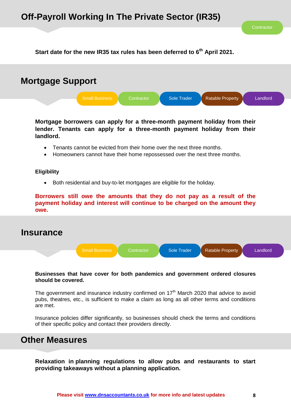**Start date for the new IR35 tax rules has been deferred to 6th April 2021.**



**Mortgage borrowers can apply for a three-month payment holiday from their lender. Tenants can apply for a three-month payment holiday from their landlord.**

- Tenants cannot be evicted from their home over the next three months.
- Homeowners cannot have their home repossessed over the next three months.

### **Eligibility**

Both residential and buy-to-let mortgages are eligible for the holiday.

**Borrowers still owe the amounts that they do not pay as a result of the payment holiday and interest will continue to be charged on the amount they owe.**

### **Insurance**



### **Businesses that have cover for both pandemics and government ordered closures should be covered.**

The government and insurance industry confirmed on  $17<sup>th</sup>$  March 2020 that advice to avoid pubs, theatres, etc., is sufficient to make a claim as long as all other terms and conditions are met.

Insurance policies differ significantly, so businesses should check the terms and conditions of their specific policy and contact their providers directly.

## **Other Measures**

**Relaxation in planning regulations to allow pubs and restaurants to start providing takeaways without a planning application.**